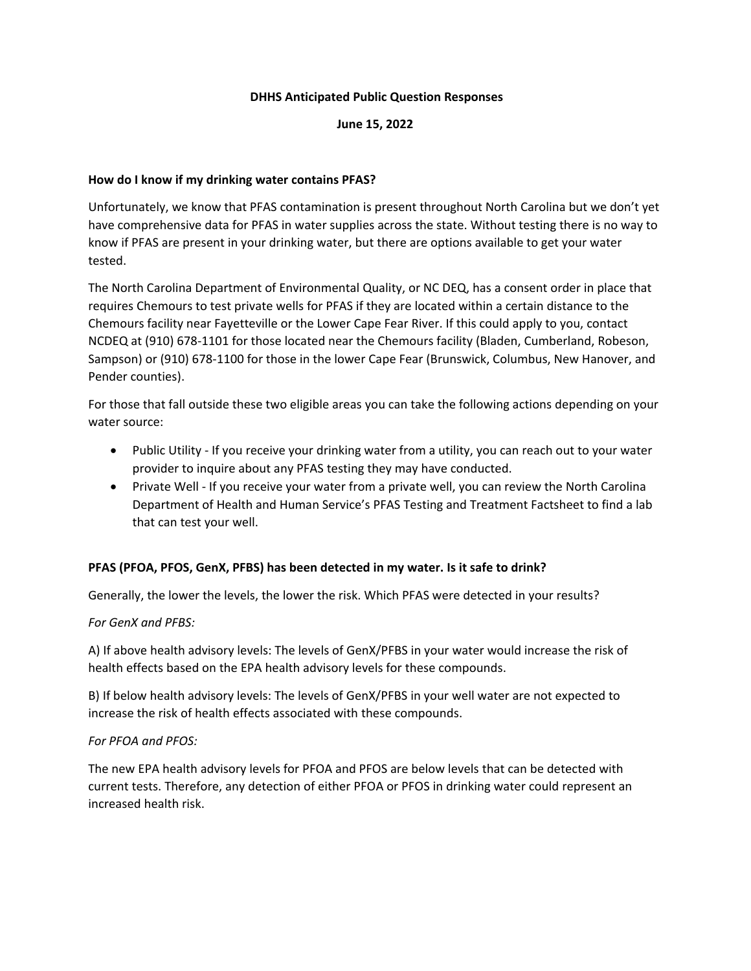#### **DHHS Anticipated Public Question Responses**

**June 15, 2022**

#### **How do I know if my drinking water contains PFAS?**

Unfortunately, we know that PFAS contamination is present throughout North Carolina but we don't yet have comprehensive data for PFAS in water supplies across the state. Without testing there is no way to know if PFAS are present in your drinking water, but there are options available to get your water tested.

The North Carolina Department of Environmental Quality, or NC DEQ, has a consent order in place that requires Chemours to test private wells for PFAS if they are located within a certain distance to the Chemours facility near Fayetteville or the Lower Cape Fear River. If this could apply to you, contact NCDEQ at (910) 678-1101 for those located near the Chemours facility (Bladen, Cumberland, Robeson, Sampson) or (910) 678-1100 for those in the lower Cape Fear (Brunswick, Columbus, New Hanover, and Pender counties).

For those that fall outside these two eligible areas you can take the following actions depending on your water source:

- Public Utility If you receive your drinking water from a utility, you can reach out to your water provider to inquire about any PFAS testing they may have conducted.
- Private Well If you receive your water from a private well, you can review the North Carolina Department of Health and Human Service's PFAS Testing and Treatment Factsheet to find a lab that can test your well.

### **PFAS (PFOA, PFOS, GenX, PFBS) has been detected in my water. Is it safe to drink?**

Generally, the lower the levels, the lower the risk. Which PFAS were detected in your results?

#### *For GenX and PFBS:*

A) If above health advisory levels: The levels of GenX/PFBS in your water would increase the risk of health effects based on the EPA health advisory levels for these compounds.

B) If below health advisory levels: The levels of GenX/PFBS in your well water are not expected to increase the risk of health effects associated with these compounds.

### *For PFOA and PFOS:*

The new EPA health advisory levels for PFOA and PFOS are below levels that can be detected with current tests. Therefore, any detection of either PFOA or PFOS in drinking water could represent an increased health risk.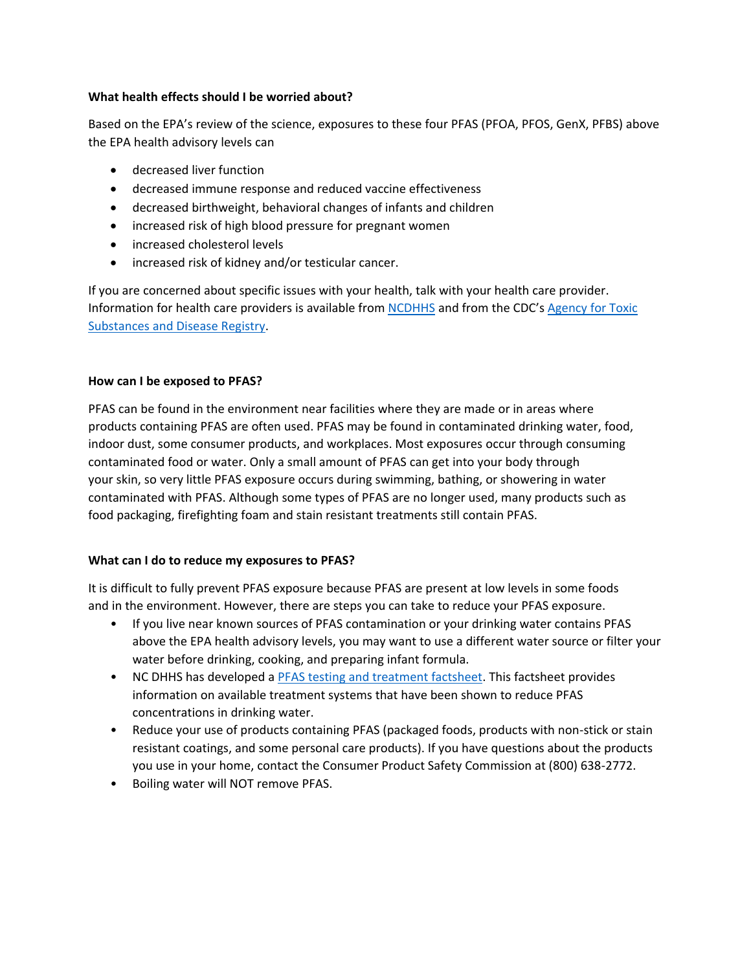### **What health effects should I be worried about?**

Based on the EPA's review of the science, exposures to these four PFAS (PFOA, PFOS, GenX, PFBS) above the EPA health advisory levels can

- decreased liver function
- decreased immune response and reduced vaccine effectiveness
- decreased birthweight, behavioral changes of infants and children
- increased risk of high blood pressure for pregnant women
- increased cholesterol levels
- increased risk of kidney and/or testicular cancer.

If you are concerned about specific issues with your health, talk with your health care provider. Information for health care providers is available from [NCDHHS](https://epi.dph.ncdhhs.gov/oee/pfas/PFAS%20Provider%20Memo%20with%20attachment%20Final%20July2020.pdf) and from the CDC's [Agency for Toxic](https://www.atsdr.cdc.gov/pfas/resources/info-for-health-professionals.html)  [Substances and Disease Registry.](https://www.atsdr.cdc.gov/pfas/resources/info-for-health-professionals.html)

### **How can I be exposed to PFAS?**

PFAS can be found in the environment near facilities where they are made or in areas where products containing PFAS are often used. PFAS may be found in contaminated drinking water, food, indoor dust, some consumer products, and workplaces. Most exposures occur through consuming contaminated food or water. Only a small amount of PFAS can get into your body through your skin, so very little PFAS exposure occurs during swimming, bathing, or showering in water contaminated with PFAS. Although some types of PFAS are no longer used, many products such as food packaging, firefighting foam and stain resistant treatments still contain PFAS.

### **What can I do to reduce my exposures to PFAS?**

It is difficult to fully prevent PFAS exposure because PFAS are present at low levels in some foods and in the environment. However, there are steps you can take to reduce your PFAS exposure.

- If you live near known sources of PFAS contamination or your drinking water contains PFAS above the EPA health advisory levels, you may want to use a different water source or filter your water before drinking, cooking, and preparing infant formula.
- NC DHHS has developed [a PFAS testing and treatment factsheet.](https://epi.dph.ncdhhs.gov/oee/pfas/PFAS_TestingFiltration.pdf) This factsheet provides information on available treatment systems that have been shown to reduce PFAS concentrations in drinking water.
- Reduce your use of products containing PFAS (packaged foods, products with non-stick or stain resistant coatings, and some personal care products). If you have questions about the products you use in your home, contact the Consumer Product Safety Commission at (800) 638-2772.
- Boiling water will NOT remove PFAS.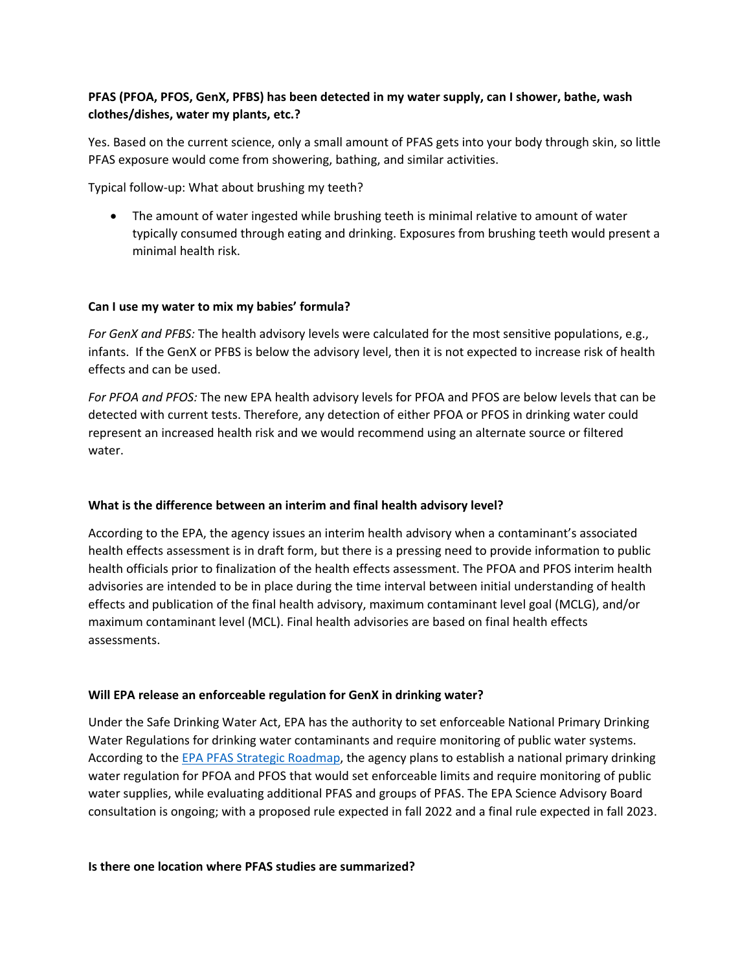# **PFAS (PFOA, PFOS, GenX, PFBS) has been detected in my water supply, can I shower, bathe, wash clothes/dishes, water my plants, etc.?**

Yes. Based on the current science, only a small amount of PFAS gets into your body through skin, so little PFAS exposure would come from showering, bathing, and similar activities.

Typical follow-up: What about brushing my teeth?

• The amount of water ingested while brushing teeth is minimal relative to amount of water typically consumed through eating and drinking. Exposures from brushing teeth would present a minimal health risk.

## **Can I use my water to mix my babies' formula?**

*For GenX and PFBS:* The health advisory levels were calculated for the most sensitive populations, e.g., infants. If the GenX or PFBS is below the advisory level, then it is not expected to increase risk of health effects and can be used.

*For PFOA and PFOS:* The new EPA health advisory levels for PFOA and PFOS are below levels that can be detected with current tests. Therefore, any detection of either PFOA or PFOS in drinking water could represent an increased health risk and we would recommend using an alternate source or filtered water.

### **What is the difference between an interim and final health advisory level?**

According to the EPA, the agency issues an interim health advisory when a contaminant's associated health effects assessment is in draft form, but there is a pressing need to provide information to public health officials prior to finalization of the health effects assessment. The PFOA and PFOS interim health advisories are intended to be in place during the time interval between initial understanding of health effects and publication of the final health advisory, maximum contaminant level goal (MCLG), and/or maximum contaminant level (MCL). Final health advisories are based on final health effects assessments.

### **Will EPA release an enforceable regulation for GenX in drinking water?**

Under the Safe Drinking Water Act, EPA has the authority to set enforceable National Primary Drinking Water Regulations for drinking water contaminants and require monitoring of public water systems. According to the [EPA PFAS Strategic Roadmap,](https://www.epa.gov/pfas/pfas-strategic-roadmap-epas-commitments-action-2021-2024) the agency plans to establish a national primary drinking water regulation for PFOA and PFOS that would set enforceable limits and require monitoring of public water supplies, while evaluating additional PFAS and groups of PFAS. The EPA Science Advisory Board consultation is ongoing; with a proposed rule expected in fall 2022 and a final rule expected in fall 2023.

**Is there one location where PFAS studies are summarized?**